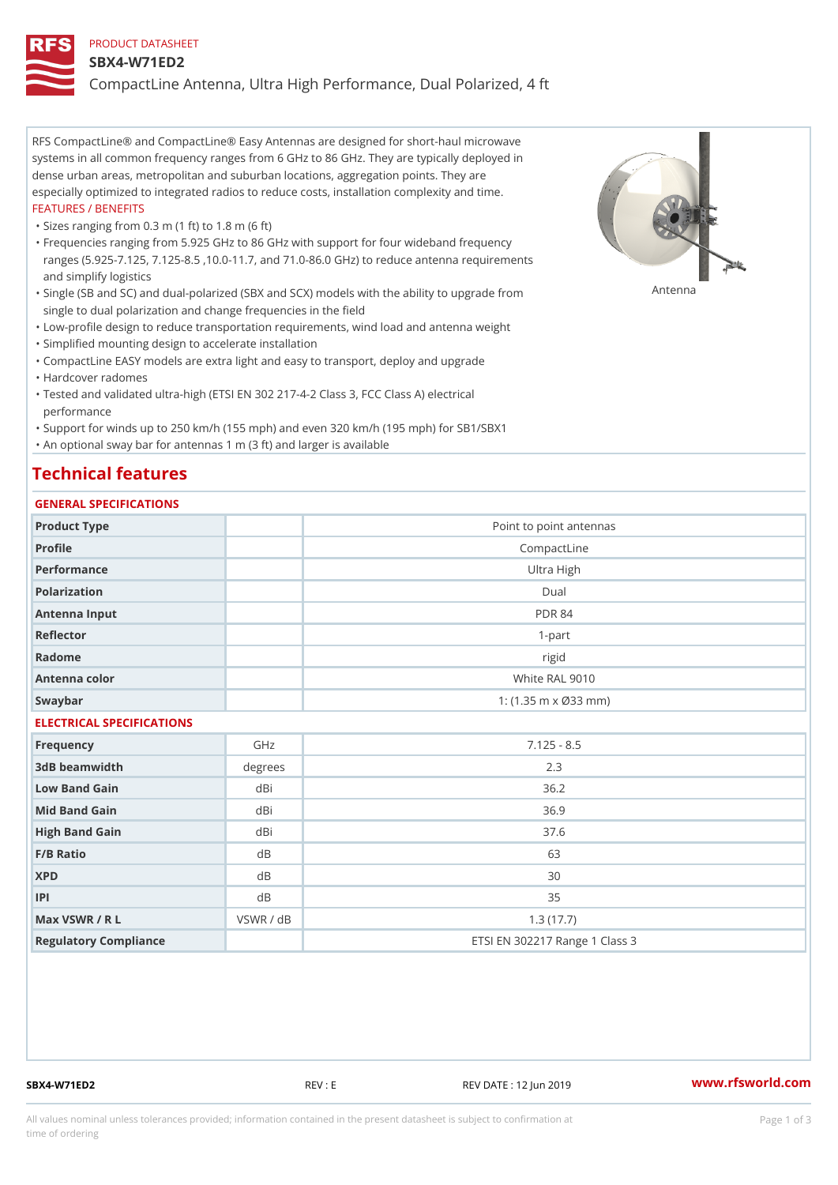### PRODUCT DATASHEET

### SBX4-W71ED2

CompactLine Antenna, Ultra High Performance, Dual Polarized, 4 ft

RFS CompactLine® and CompactLine® Easy Antennas are designed for short-haul microwave systems in all common frequency ranges from 6 GHz to 86 GHz. They are typically deployed in dense urban areas, metropolitan and suburban locations, aggregation points. They are especially optimized to integrated radios to reduce costs, installation complexity and time. FEATURES / BENEFITS

"Sizes ranging from 0.3 m (1 ft) to 1.8 m (6 ft)

Frequencies ranging from 5.925 GHz to 86 GHz with support for four wideband frequency " ranges (5.925-7.125, 7.125-8.5 ,10.0-11.7, and 71.0-86.0 GHz) to reduce antenna requirements and simplify logistics

"Single (SB and SC) and dual-polarized (SBX and SCX) models with the abili $\mathsf{f}_\mathsf{V}^{\eta}$ ttenup $\beta$ grade from single to dual polarization and change frequencies in the field

"Low-profile design to reduce transportation requirements, wind load and antenna weight

"Simplified mounting design to accelerate installation

 "CompactLine EASY models are extra light and easy to transport, deploy and upgrade "Hardcover radomes

Tested and validated ultra-high (ETSI EN 302 217-4-2 Class 3, FCC Class A) electrical " performance

 "Support for winds up to 250 km/h (155 mph) and even 320 km/h (195 mph) for SB1/SBX1 "An optional sway bar for antennas 1 m (3 ft) and larger is available

# Technical features

## GENERAL SPECIFICATIONS

| GENERAL SELGIFICATIONS    |           |                                |  |  |
|---------------------------|-----------|--------------------------------|--|--|
| Product Type              |           | Point to point antennas        |  |  |
| Profile                   |           | CompactLine                    |  |  |
| Performance               |           | Ultra High                     |  |  |
| Polarization              |           | $D$ ual                        |  |  |
| Antenna Input             |           | <b>PDR 84</b>                  |  |  |
| Reflector                 |           | $1 - p$ art                    |  |  |
| Radome                    |           | rigid                          |  |  |
| Antenna color             |           | White RAL 9010                 |  |  |
| Swaybar                   |           | 1: $(1.35 m \times 033 m)$     |  |  |
| ELECTRICAL SPECIFICATIONS |           |                                |  |  |
| Frequency                 | GHz       | $7.125 - 8.5$                  |  |  |
| 3dB beamwidth             | degrees   | 2.3                            |  |  |
| Low Band Gain             | dBi       | $36.2$                         |  |  |
| Mid Band Gain             | dBi       | 36.9                           |  |  |
| High Band Gain            | dBi       | 37.6                           |  |  |
| F/B Ratio                 | d B       | 63                             |  |  |
| <b>XPD</b>                | d B       | 30                             |  |  |
| P                         | d B       | 35                             |  |  |
| Max VSWR / R L            | VSWR / dB | 1.3(17.7)                      |  |  |
| Regulatory Compliance     |           | ETSI EN 302217 Range 1 Class 3 |  |  |

SBX4-W71ED2 REV : E REV DATE : 12 Jun 2019 WWW.rfsworld.com

All values nominal unless tolerances provided; information contained in the present datasheet is subject to Pcapgeign mation time of ordering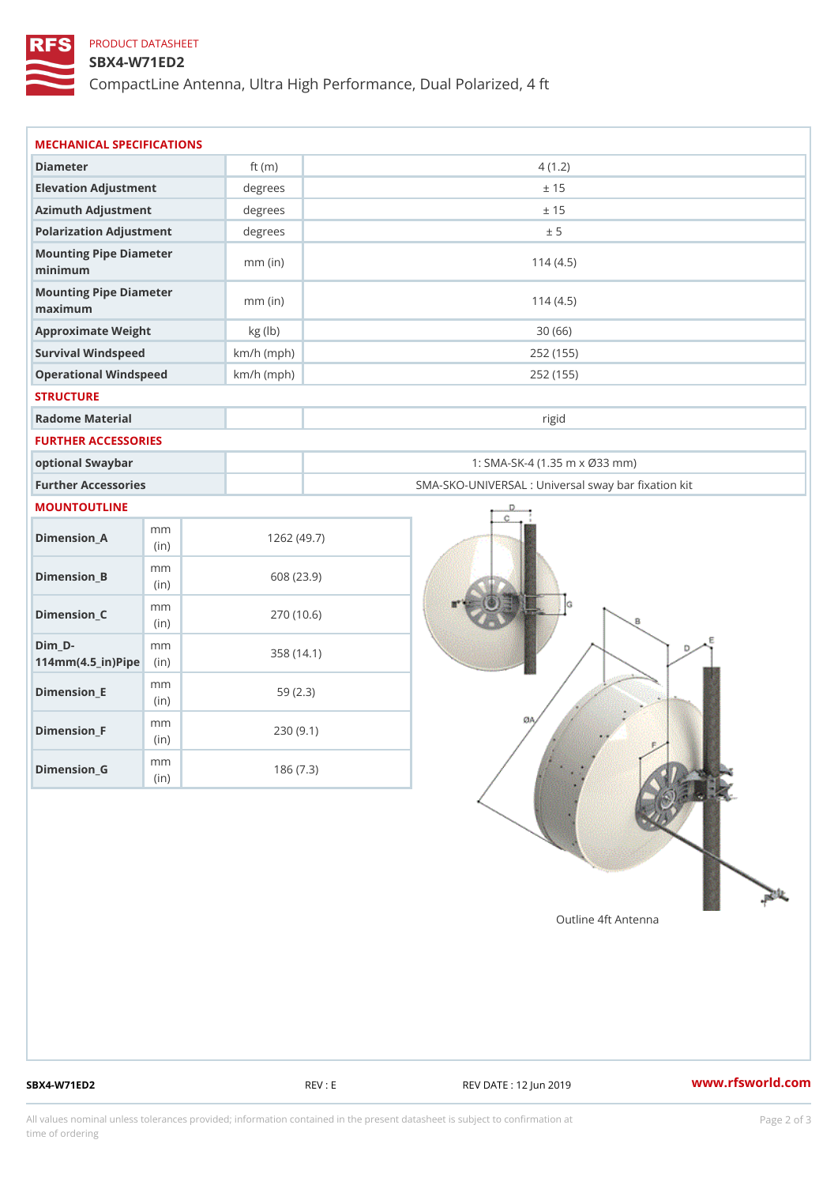## PRODUCT DATASHEET

## SBX4-W71ED2

CompactLine Antenna, Ultra High Performance, Dual Polarized, 4 ft

|                                                                   | MECHANICAL SPECIFICATIONS |                                                   |  |
|-------------------------------------------------------------------|---------------------------|---------------------------------------------------|--|
| Diameter                                                          | ft $(m)$                  | 4(1.2)                                            |  |
| Elevation Adjustment                                              | degrees                   | ± 15                                              |  |
| Azimuth Adjustment                                                | degrees                   | ± 15                                              |  |
| Polarization Adjustment                                           | degrees                   | ± 5                                               |  |
| Mounting Pipe Diameter<br>minimum                                 | $mm$ (in)                 | 114(4.5)                                          |  |
| Mounting Pipe Diameter<br>maximum                                 | $mm$ (in)                 | 114(4.5)                                          |  |
| Approximate Weight                                                | kg (lb)                   | 30(66)                                            |  |
| Survival Windspeed                                                | $km/h$ (mph)              | 252 (155)                                         |  |
| Operational Windspeed                                             | $km/h$ (mph)              | 252 (155)                                         |  |
| <b>STRUCTURE</b>                                                  |                           |                                                   |  |
| Radome Material                                                   |                           | rigid                                             |  |
| FURTHER ACCESSORIES                                               |                           |                                                   |  |
| optional Swaybar                                                  |                           | 1: SMA-SK-4 (1.35 m x Ø33 mm)                     |  |
| Further Accessories                                               |                           | SMA-SKO-UNIVERSAL : Universal sway bar fixation l |  |
| MOUNTOUTLINE                                                      |                           |                                                   |  |
| m m<br>$Dimension_A$<br>(in)                                      |                           | 1262(49.7)                                        |  |
| m m<br>$Dimension_B$<br>(in)                                      |                           | 608 (23.9)                                        |  |
| m m<br>$Dimension_C$<br>(i n)                                     |                           | 270 (10.6)                                        |  |
| $Dim_D - D -$<br>m m<br>$114$ m m $(4.5$ _ ir $)$ $R$ ii p $\geq$ |                           | 358 (14.1)                                        |  |
| m m<br>$Dimension$ = E<br>(in)                                    |                           | 59(2.3)                                           |  |
| m m<br>$Dimension_F$<br>(in)                                      |                           | 230(9.1)                                          |  |
| m m<br>$Dimension_G$                                              |                           | 186(7.3)                                          |  |

SBX4-W71ED2 REV : E REV DATE : 12 Jun 2019 WWW.rfsworld.com

All values nominal unless tolerances provided; information contained in the present datasheet is subject to Pcapgelio an atio time of ordering